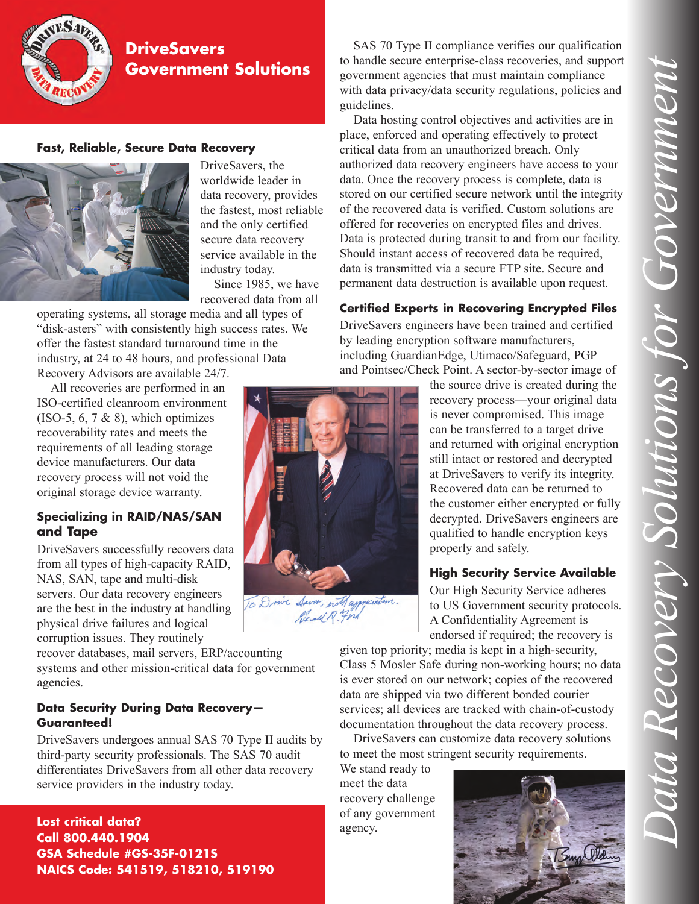

# **DriveSavers Government Solutions**

## **Fast, Reliable, Secure Data Recovery**



DriveSavers, the worldwide leader in data recovery, provides the fastest, most reliable and the only certified secure data recovery service available in the industry today.

Since 1985, we have recovered data from all

operating systems, all storage media and all types of "disk-asters" with consistently high success rates. We offer the fastest standard turnaround time in the industry, at 24 to 48 hours, and professional Data Recovery Advisors are available 24/7.

All recoveries are performed in an ISO-certified cleanroom environment

 $(ISO-5, 6, 7 \& 8)$ , which optimizes recoverability rates and meets the requirements of all leading storage device manufacturers. Our data recovery process will not void the original storage device warranty.

## **Specializing in RAID/NAS/SAN and Tape**

DriveSavers successfully recovers data from all types of high-capacity RAID, NAS, SAN, tape and multi-disk servers. Our data recovery engineers are the best in the industry at handling physical drive failures and logical corruption issues. They routinely

recover databases, mail servers, ERP/accounting systems and other mission-critical data for government agencies.

## **Data Security During Data Recovery— Guaranteed!**

DriveSavers undergoes annual SAS 70 Type II audits by third-party security professionals. The SAS 70 audit differentiates DriveSavers from all other data recovery service providers in the industry today.

**Lost critical data? Call 800.440.1904 GSA Schedule #GS-35F-0121S NAICS Code: 541519, 518210, 519190**

SAS 70 Type II compliance verifies our qualification to handle secure enterprise-class recoveries, and support government agencies that must maintain compliance with data privacy/data security regulations, policies and guidelines.

Data hosting control objectives and activities are in place, enforced and operating effectively to protect critical data from an unauthorized breach. Only authorized data recovery engineers have access to your data. Once the recovery process is complete, data is stored on our certified secure network until the integrity of the recovered data is verified. Custom solutions are offered for recoveries on encrypted files and drives. Data is protected during transit to and from our facility. Should instant access of recovered data be required, data is transmitted via a secure FTP site. Secure and permanent data destruction is available upon request.

## **Certified Experts in Recovering Encrypted Files**

DriveSavers engineers have been trained and certified by leading encryption software manufacturers, including GuardianEdge, Utimaco/Safeguard, PGP and Pointsec/Check Point. A sector-by-sector image of



the source drive is created during the recovery process—your original data is never compromised. This image can be transferred to a target drive and returned with original encryption still intact or restored and decrypted at DriveSavers to verify its integrity. Recovered data can be returned to the customer either encrypted or fully decrypted. DriveSavers engineers are qualified to handle encryption keys properly and safely.

## **High Security Service Available**

Our High Security Service adheres to US Government security protocols. A Confidentiality Agreement is endorsed if required; the recovery is

given top priority; media is kept in a high-security, Class 5 Mosler Safe during non-working hours; no data is ever stored on our network; copies of the recovered data are shipped via two different bonded courier services; all devices are tracked with chain-of-custody documentation throughout the data recovery process.

DriveSavers can customize data recovery solutions to meet the most stringent security requirements.

We stand ready to meet the data recovery challenge of any government agency.